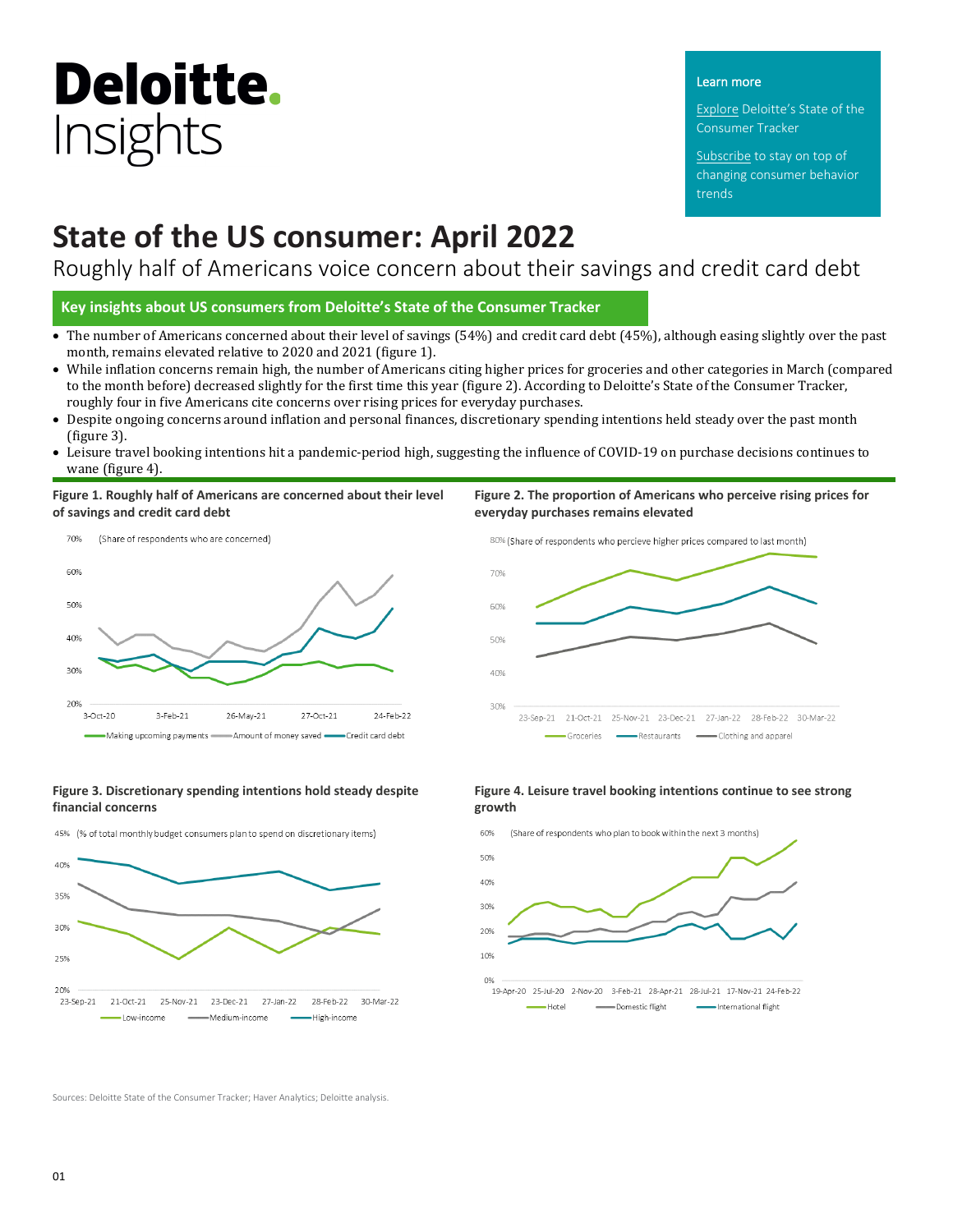# **Deloitte.** Insights

#### Learn more

Explore Deloitte's [State of the](https://www2.deloitte.com/us/en/insights/industry/retail-distribution/consumer-behavior-trends-state-of-the-consumer-tracker.html)  [Consumer Tracker](https://www2.deloitte.com/us/en/insights/industry/retail-distribution/consumer-behavior-trends-state-of-the-consumer-tracker.html)

[Subscribe t](http://response.deloitte.com/LP=593)o stay on top of changing consumer behavior trends

## **State of the US consumer: April 2022**

Roughly half of Americans voice concern about their savings and credit card debt

**Key insights about US consumers from Deloitte's State of the Consumer Tracker**

- The number of Americans concerned about their level of savings (54%) and credit card debt (45%), although easing slightly over the past month, remains elevated relative to 2020 and 2021 (figure 1).
- While inflation concerns remain high, the number of Americans citing higher prices for groceries and other categories in March (compared to the month before) decreased slightly for the first time this year (figure 2). According to Deloitte's State of the Consumer Tracker, roughly four in five Americans cite concerns over rising prices for everyday purchases.
- Despite ongoing concerns around inflation and personal finances, discretionary spending intentions held steady over the past month (figure 3).
- Leisure travel booking intentions hit a pandemic-period high, suggesting the influence of COVID-19 on purchase decisions continues to wane (figure 4).

70%

60%

50%

40%

30%

**Figure 1. Roughly half of Americans are concerned about their level of savings and credit card debt**



#### **Figure 3. Discretionary spending intentions hold steady despite financial concerns**





### **Figure 4. Leisure travel booking intentions continue to see strong growth**

23-Sep-21 21-Oct-21 25-Nov-21 23-Dec-21 27-Jan-22 28-Feb-22 30-Mar-22

Restaurants **Exercise Exercise** Clothing and apparel

**Figure 2. The proportion of Americans who perceive rising prices for** 

80% (Share of respondents who percieve higher prices compared to last month)

**everyday purchases remains elevated**

 $\overline{\phantom{a}}$  Groceries  $\overline{\phantom{a}}$ 



Sources: Deloitte State of the Consumer Tracker; Haver Analytics; Deloitte analysis.

 $01$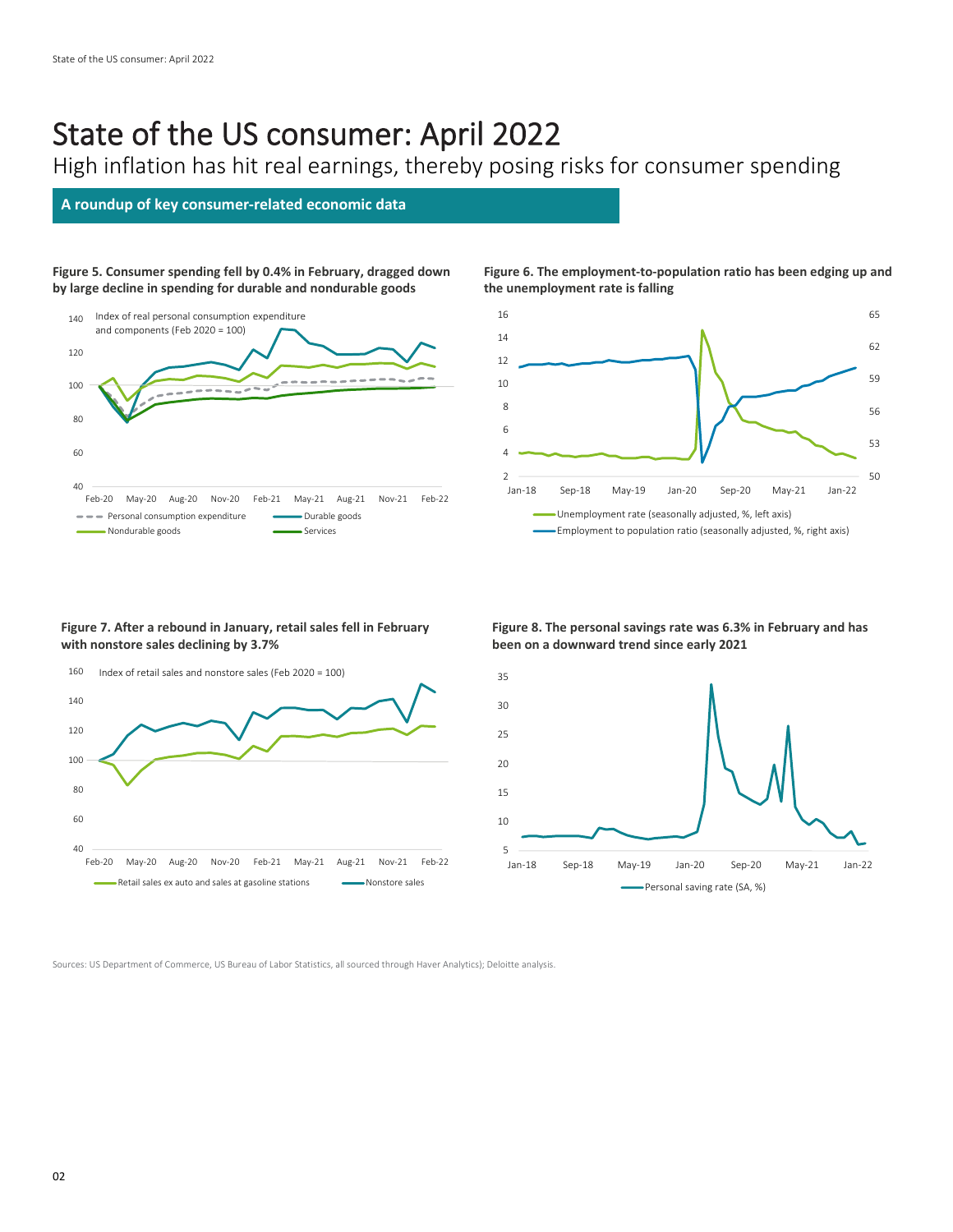## State of the US consumer: April 2022

High inflation has hit real earnings, thereby posing risks for consumer spending

### **A roundup of key consumer-related economic data**

**Figure 5. Consumer spending fell by 0.4% in February, dragged down by large decline in spending for durable and nondurable goods**



#### **Figure 6. The employment-to-population ratio has been edging up and the unemployment rate is falling**



#### **Figure 7. After a rebound in January, retail sales fell in February with nonstore sales declining by 3.7%**



#### **Figure 8. The personal savings rate was 6.3% in February and has been on a downward trend since early 2021**



Sources: US Department of Commerce, US Bureau of Labor Statistics, all sourced through Haver Analytics); Deloitte analysis.